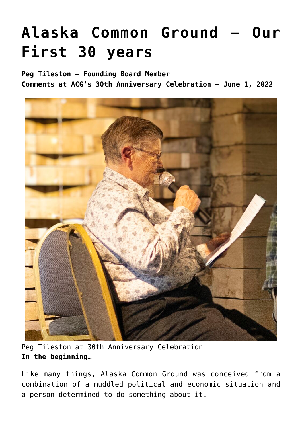# **[Alaska Common Ground – Our](https://akcommonground.org/alaska-common-ground-our-first-30-years/) [First 30 years](https://akcommonground.org/alaska-common-ground-our-first-30-years/)**

**Peg Tileston – Founding Board Member Comments at ACG's 30th Anniversary Celebration – June 1, 2022**



Peg Tileston at 30th Anniversary Celebration **In the beginning…**

Like many things, Alaska Common Ground was conceived from a combination of a muddled political and economic situation and a person determined to do something about it.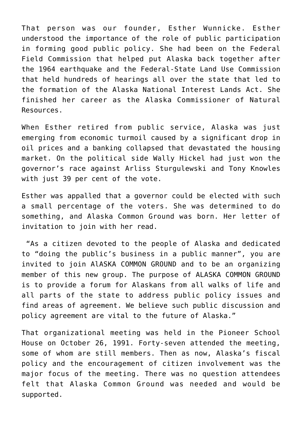That person was our founder, Esther Wunnicke. Esther understood the importance of the role of public participation in forming good public policy. She had been on the Federal Field Commission that helped put Alaska back together after the 1964 earthquake and the Federal-State Land Use Commission that held hundreds of hearings all over the state that led to the formation of the Alaska National Interest Lands Act. She finished her career as the Alaska Commissioner of Natural Resources.

When Esther retired from public service, Alaska was just emerging from economic turmoil caused by a significant drop in oil prices and a banking collapsed that devastated the housing market. On the political side Wally Hickel had just won the governor's race against Arliss Sturgulewski and Tony Knowles with just 39 per cent of the vote.

Esther was appalled that a governor could be elected with such a small percentage of the voters. She was determined to do something, and Alaska Common Ground was born. Her letter of invitation to join with her read.

 "As a citizen devoted to the people of Alaska and dedicated to "doing the public's business in a public manner", you are invited to join AlASKA COMMON GROUND and to be an organizing member of this new group. The purpose of ALASKA COMMON GROUND is to provide a forum for Alaskans from all walks of life and all parts of the state to address public policy issues and find areas of agreement. We believe such public discussion and policy agreement are vital to the future of Alaska."

That organizational meeting was held in the Pioneer School House on October 26, 1991. Forty-seven attended the meeting, some of whom are still members. Then as now, Alaska's fiscal policy and the encouragement of citizen involvement was the major focus of the meeting. There was no question attendees felt that Alaska Common Ground was needed and would be supported.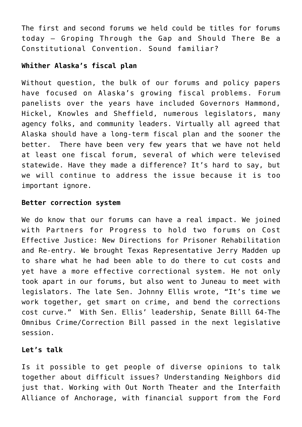The first and second forums we held could be titles for forums today – Groping Through the Gap and Should There Be a Constitutional Convention. Sound familiar?

# **Whither Alaska's fiscal plan**

Without question, the bulk of our forums and policy papers have focused on Alaska's growing fiscal problems. Forum panelists over the years have included Governors Hammond, Hickel, Knowles and Sheffield, numerous legislators, many agency folks, and community leaders. Virtually all agreed that Alaska should have a long-term fiscal plan and the sooner the better. There have been very few years that we have not held at least one fiscal forum, several of which were televised statewide. Have they made a difference? It's hard to say, but we will continue to address the issue because it is too important ignore.

# **Better correction system**

We do know that our forums can have a real impact, We joined with Partners for Progress to hold two forums on Cost Effective Justice: New Directions for Prisoner Rehabilitation and Re-entry. We brought Texas Representative Jerry Madden up to share what he had been able to do there to cut costs and yet have a more effective correctional system. He not only took apart in our forums, but also went to Juneau to meet with legislators. The late Sen. Johnny Ellis wrote, "It's time we work together, get smart on crime, and bend the corrections cost curve." With Sen. Ellis' leadership, Senate Billl 64-The Omnibus Crime/Correction Bill passed in the next legislative session.

# **Let's talk**

Is it possible to get people of diverse opinions to talk together about difficult issues? Understanding Neighbors did just that. Working with Out North Theater and the Interfaith Alliance of Anchorage, with financial support from the Ford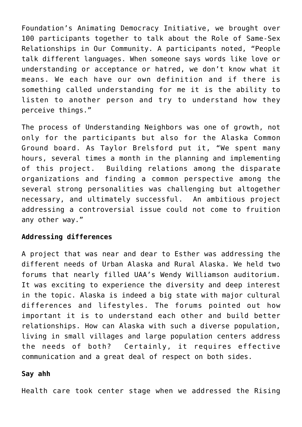Foundation's Animating Democracy Initiative, we brought over 100 participants together to talk about the Role of Same-Sex Relationships in Our Community. A participants noted, "People talk different languages. When someone says words like love or understanding or acceptance or hatred, we don't know what it means. We each have our own definition and if there is something called understanding for me it is the ability to listen to another person and try to understand how they perceive things."

The process of Understanding Neighbors was one of growth, not only for the participants but also for the Alaska Common Ground board. As Taylor Brelsford put it, "We spent many hours, several times a month in the planning and implementing of this project. Building relations among the disparate organizations and finding a common perspective among the several strong personalities was challenging but altogether necessary, and ultimately successful. An ambitious project addressing a controversial issue could not come to fruition any other way."

### **Addressing differences**

A project that was near and dear to Esther was addressing the different needs of Urban Alaska and Rural Alaska. We held two forums that nearly filled UAA's Wendy Williamson auditorium. It was exciting to experience the diversity and deep interest in the topic. Alaska is indeed a big state with major cultural differences and lifestyles. The forums pointed out how important it is to understand each other and build better relationships. How can Alaska with such a diverse population, living in small villages and large population centers address the needs of both? Certainly, it requires effective communication and a great deal of respect on both sides.

#### **Say ahh**

Health care took center stage when we addressed the Rising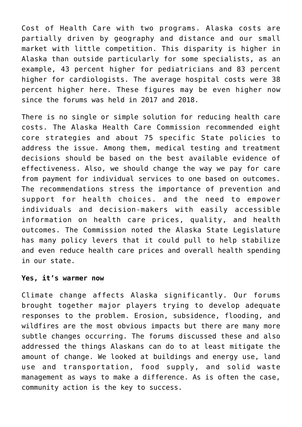Cost of Health Care with two programs. Alaska costs are partially driven by geography and distance and our small market with little competition. This disparity is higher in Alaska than outside particularly for some specialists, as an example, 43 percent higher for pediatricians and 83 percent higher for cardiologists. The average hospital costs were 38 percent higher here. These figures may be even higher now since the forums was held in 2017 and 2018.

There is no single or simple solution for reducing health care costs. The Alaska Health Care Commission recommended eight core strategies and about 75 specific State policies to address the issue. Among them, medical testing and treatment decisions should be based on the best available evidence of effectiveness. Also, we should change the way we pay for care from payment for individual services to one based on outcomes. The recommendations stress the importance of prevention and support for health choices. and the need to empower individuals and decision-makers with easily accessible information on health care prices, quality, and health outcomes. The Commission noted the Alaska State Legislature has many policy levers that it could pull to help stabilize and even reduce health care prices and overall health spending in our state.

#### **Yes, it's warmer now**

Climate change affects Alaska significantly. Our forums brought together major players trying to develop adequate responses to the problem. Erosion, subsidence, flooding, and wildfires are the most obvious impacts but there are many more subtle changes occurring. The forums discussed these and also addressed the things Alaskans can do to at least mitigate the amount of change. We looked at buildings and energy use, land use and transportation, food supply, and solid waste management as ways to make a difference. As is often the case, community action is the key to success.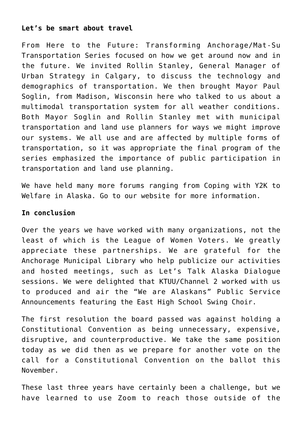## **Let's be smart about travel**

From Here to the Future: Transforming Anchorage/Mat-Su Transportation Series focused on how we get around now and in the future. We invited Rollin Stanley, General Manager of Urban Strategy in Calgary, to discuss the technology and demographics of transportation. We then brought Mayor Paul Soglin, from Madison, Wisconsin here who talked to us about a multimodal transportation system for all weather conditions. Both Mayor Soglin and Rollin Stanley met with municipal transportation and land use planners for ways we might improve our systems. We all use and are affected by multiple forms of transportation, so it was appropriate the final program of the series emphasized the importance of public participation in transportation and land use planning.

We have held many more forums ranging from Coping with Y2K to Welfare in Alaska. Go to our website for more information.

## **In conclusion**

Over the years we have worked with many organizations, not the least of which is the League of Women Voters. We greatly appreciate these partnerships. We are grateful for the Anchorage Municipal Library who help publicize our activities and hosted meetings, such as Let's Talk Alaska Dialogue sessions. We were delighted that KTUU/Channel 2 worked with us to produced and air the "We are Alaskans" Public Service Announcements featuring the East High School Swing Choir.

The first resolution the board passed was against holding a Constitutional Convention as being unnecessary, expensive, disruptive, and counterproductive. We take the same position today as we did then as we prepare for another vote on the call for a Constitutional Convention on the ballot this November.

These last three years have certainly been a challenge, but we have learned to use Zoom to reach those outside of the